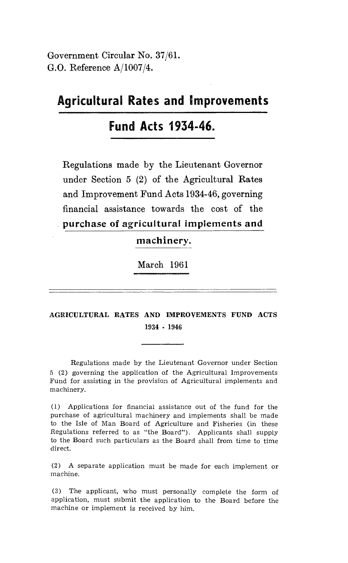Government Circular No. 37/61. G.O. Reference A/1007/4.

## **Agricultural Rates and Improvements**

# **Fund Acts 1934-46.**

Regulations made by the Lieutenant Governor under Section 5 (2) of the Agricultural Rates and Improvement Fund Acts 1934-46, governing financial assistance towards the cost of the **purchase of agricultural implements and** 

#### **machinery.**

March 1961

#### AGRICULTURAL RATES AND IMPROVEMENTS FUND ACTS 1934 - 1946

Regulations made by the Lieutenant Governor under Section 5 (2) governing the application of the Agricultural Improvements Fund for assisting in the provision of Agricultural implements and machinery.

(1) Applications for financial assistance out of the fund for the purchase of agricultural machinery and implements shall be made to the Isle of Man Board of Agriculture and Fisheries (in these Regulations referred to as "the Board"). Applicants shall supply to the Board such particulars as the Board shall from time to time direct.

(2) A separate application must be made for each implement or machine.

(3) The applicant, who must personally complete the form of application, must submit the application to the Board before the machine or implement is received by him.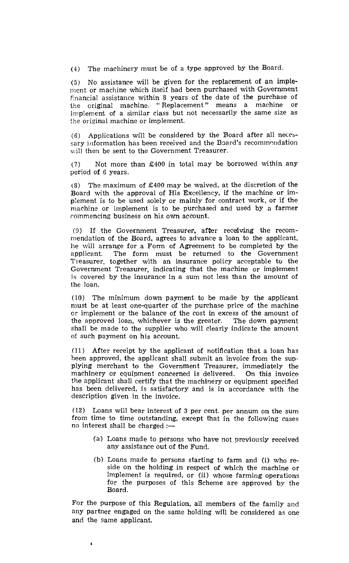(4) The machinery must be of a type approved by the Board.

(5) No assistance will be given for the replacement of an implement or machine which itself had been purchased with Government financial assistance within 8 years of the date of the purchase of the original machine. " Replacement " means a machine or implement of a similar class but not necessarily the same size as the original machine or implement.

(6) Applications will be considered by the Board after all necessary information has been received and the Board's recommendation will then be sent to the Government Treasurer.

(7) Not more than £400 in total may be borrowed within any period of 6 years.

(8) The maximum of £400 may be waived, at the discretion of the Board with the approval of His Excellency, if the machine or implement is to be used solely or mainly for contract work, or if the machine or implement is to be purchased and used by a farmer commencing business on his own account.

(9) If the Government Treasurer, after receiving the recommendation of the Board, agrees to advance a loan to the applicant, he will arrange for a Form of Agreement to be completed by the applicant. The form must be returned to the Government The form must be returned to the Government Treasurer, together with an insurance policy acceptable to the Government Treasurer, indicating that the machine or implement is covered by the insurance in a sum not less than the amount of the loan.

(10) The minimum down payment to be made by the applicant must be at least one-quarter of the purchase price of the machine or implement or the balance of the cost in excess of the amount of the approved loan, whichever is the greater. The down payment the approved loan, whichever is the greater. shall be made to the supplier who will clearly indicate the amount of such payment on his account.

(11) After receipt by the applicant of notification that a loan has been approved, the applicant shall submit an invoice from the sup. plying merchant to the Government Treasurer, immediately the machinery or equipment concerned is delivered. On this invoice the applicant shall certify that the machinery or equipment specified has been delivered, is satisfactory and is in accordance with the description given in the invoice.

(12) Loans will bear interest of 3 per cent. per annum on the sum from time to time outstanding, except that in the following cases no interest shall be charged  $:$ 

- (a) Loans made to persons who have not previously received any assistance out of the Fund.
- (b) Loans made to persons starting to farm and (i) who reside on the holding in respect of which the machine or implement is required, or (ii) whose farming operations for the purposes of this Scheme are approved by the Board.

For the purpose of this Regulation, all members of the family and any partner engaged on the same holding will be considered as one and the same applicant.

 $\bullet$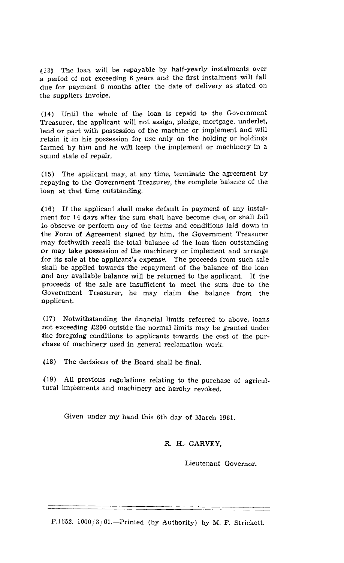(13) The loan will be repayable by half-yearly instalments over a period of not exceeding 6 years and the first instalment will fall due for payment 6 months after the date of delivery as stated on the suppliers invoice.

(14) Until the whole of the loan is repaid to the Government Treasurer, the applicant will not assign, pledge, mortgage, underlet, lend or part with possession of the machine or implement and will retain it in his possession for use only on the holding or holdings farmed by him and he will keep the implement or machinery in a sound state of repair.

(15) The applicant may, at any time, terminate the agreement by repaying to the Government Treasurer, the complete balance of the loan at that time outstanding.

(16) If the applicant shall make default in payment of any instalment for 14 days after the sum shall have become due, or shall fail lo observe or perform any of the terms and conditions laid down in the Form of Agreement signed by him, the Government Treasurer may forthwith recall the total balance of the loan then outstanding or may take possession of the machinery or implement and arrange for its sale at the applicant's expense. The proceeds from such sale shall be applied towards the repayment of the balance of the loan and any available balance will be returned to the applicant. If the proceeds of the sale are insufficient to meet the sum due to the Government Treasurer, he may claim the balance from the applicant.

(17) Notwithstanding the financial limits referred to above, loans not exceeding £200 outside the normal limits may be granted under the foregoing conditions to applicants towards the cost of the purchase of machinery used in general reclamation work.

(18) The decisions of the Board shall be final.

(19) All previous regulations relating to the purchase of agricultural implements and machinery are hereby revoked.

Given under my hand this 6th day of March 1961.

R. H. GARVEY,

Lieutenant Governor.

P.1652. 1000/3/61.—Printed (by Authority) by M. F. Strickett.